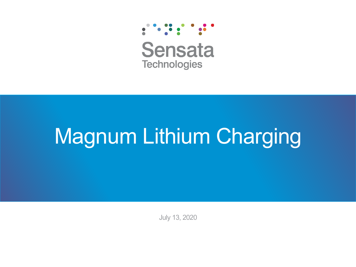

**Sensata Technologies** 

# Magnum Lithium Charging

July 13, 2020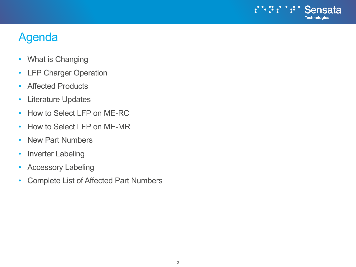

# Agenda

- What is Changing
- LFP Charger Operation
- Affected Products
- Literature Updates
- How to Select LFP on ME-RC
- How to Select LFP on ME-MR
- New Part Numbers
- Inverter Labeling
- Accessory Labeling
- Complete List of Affected Part Numbers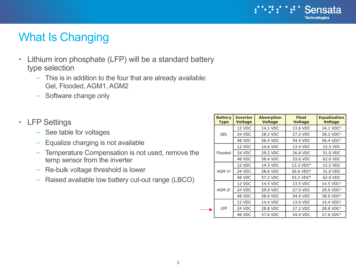#### $\ddot{\bm{v}}$ Sensata **Technologies**

### What Is Changing

- Lithium iron phosphate (LFP) will be a standard battery type selection
	- This is in addition to the four that are already available: Gel, Flooded, AGM1, AGM2
	- Software change only
- LFP Settings
	- See table for voltages
	- Equalize charging is not available
	- Temperature Compensation is not used, remove the temp sensor from the inverter
	- Re-bulk voltage threshold is lower
	- Raised available low battery cut-out range (LBCO)

| <b>Battery</b><br><b>Type</b> | <b>Inverter</b><br><b>Voltage</b> | <b>Absorption</b><br><b>Voltage</b> | <b>Float</b><br><b>Voltage</b> | <b>Equalization</b><br><b>Voltage</b> |
|-------------------------------|-----------------------------------|-------------------------------------|--------------------------------|---------------------------------------|
|                               | 12 VDC                            | 14.1 VDC                            | 13.6 VDC                       | 14.1 VDC <sup>1</sup>                 |
| GEL                           | 24 VDC                            | 28.2 VDC                            | 27.2 VDC                       | 28.2 VDC <sup>1</sup>                 |
|                               | 48 VDC                            | 56.4 VDC                            | 54.4 VDC                       | 56.4 VDC <sup>1</sup>                 |
| Flooded                       | 12 VDC                            | 14.6 VDC                            | 13.4 VDC                       | 15.5 VDC                              |
|                               | 24 VDC                            | 29.2 VDC                            | 26.8 VDC                       | 31.0 VDC                              |
|                               | 48 VDC                            | 58.4 VDC                            | 53.6 VDC                       | 62.0 VDC                              |
| AGM 1 <sup>2</sup>            | 12 VDC                            | 14.3 VDC                            | 13.3 VDC <sup>4</sup>          | 15.5 VDC                              |
|                               | 24 VDC                            | 28.6 VDC                            | 26.6 VDC <sup>4</sup>          | 31.0 VDC                              |
|                               | 48 VDC                            | 57.2 VDC                            | 53.2 VDC <sup>4</sup>          | 62.0 VDC                              |
| AGM 2 <sup>3</sup>            | 12 VDC                            | 14.5 VDC                            | 13.5 VDC                       | 14.5 VDC <sup>1</sup>                 |
|                               | 24 VDC                            | 29.0 VDC                            | 27.0 VDC                       | 29.0 VDC <sup>1</sup>                 |
|                               | 48 VDC                            | 58.0 VDC                            | 54.0 VDC                       | 58.0 VDC <sup>1</sup>                 |
| LFP                           | 12 VDC                            | 14.4 VDC                            | 13.6 VDC                       | 14.4 VDC <sup>1</sup>                 |
|                               | 24 VDC                            | 28.8 VDC                            | 27.2 VDC                       | 28.8 VDC <sup>1</sup>                 |
|                               | 48 VDC                            | 57.6 VDC                            | 54.4 VDC                       | 57.6 VDC <sup>1</sup>                 |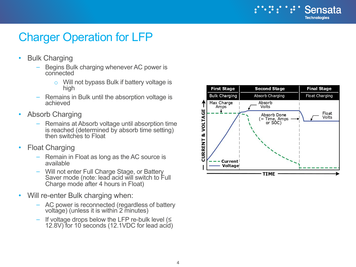

## Charger Operation for LFP

- Bulk Charging
	- Begins Bulk charging whenever AC power is connected
		- o Will not bypass Bulk if battery voltage is high
	- Remains in Bulk until the absorption voltage is achieved
- Absorb Charging
	- Remains at Absorb voltage until absorption time is reached (determined by absorb time setting) then switches to Float
- Float Charging
	- Remain in Float as long as the AC source is available
	- Will not enter Full Charge Stage, or Battery Saver mode (note: lead acid will switch to Full Charge mode after 4 hours in Float)
- Will re-enter Bulk charging when:
	- AC power is reconnected (regardless of battery voltage) (unless it is within 2 minutes)
	- If voltage drops below the LFP re-bulk level (≤ 12.8V) for 10 seconds (12.1VDC for lead acid)

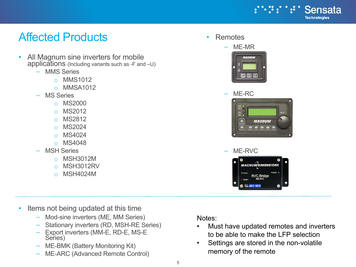

### Affected Products

- All Magnum sine inverters for mobile applications (Including variants such as  $-F$  and  $-U$ )
	- MMS Series
		- o MMS1012
		- o MMSA1012
	- MS Series
		- o MS2000
		- o MS2012
		- o MS2812
		- o MS2024
		- o MS4024
		- o MS4048
	- **MSH Series** 
		- o MSH3012M
		- o MSH3012RV
		- o MSH4024M

• Remotes



#### – ME-RC



#### – ME-RVC



- Items not being updated at this time
	- Mod-sine inverters (ME, MM Series)
	- Stationary inverters (RD, MSH-RE Series)
	- Export inverters (MM-E, RD-E, MS-E Series)
	- ME-BMK (Battery Monitoring Kit)
	- ME-ARC (Advanced Remote Control)

Notes:

- Must have updated remotes and inverters to be able to make the LFP selection
- Settings are stored in the non-volatile memory of the remote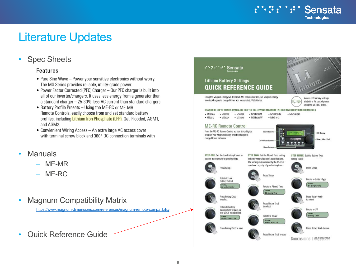

## Literature Updates

### **Spec Sheets**

#### **Features**

- Pure Sine Wave Power your sensitive electronics without worry. The MS Series provides reliable, utility-grade power.
- Power Factor Corrected (PFC) Charger Our PFC charger is built into all of our inverter/chargers. It uses less energy from a generator than a standard charger - 25-30% less AC current than standard chargers.
- Battery Profile Presets Using the ME-RC or ME-MR Remote Controls, easily choose from and set standard battery profiles, including Lithium Iron Phosphate (LFP), Gel, Flooded, AGM1, and AGM2.
- Convienient Wiring Access An extra large AC access cover with terminal screw block and 360° DC connection terminals with
- Manuals
	- ME-MR
	- ME-RC
- Magnum Compatibility Matrix

<https://www.magnum-dimensions.com/references/magnum-remote-compatibility>

• Quick Reference Guide

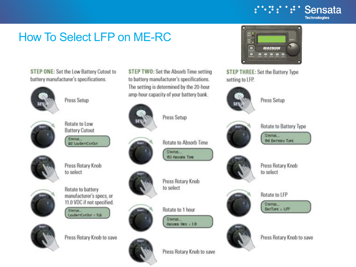# **How To Select LFP on ME-RC**

STEP ONE: Set the Low Battery Cutout to battery manufacturer's specifications.



Press Setup



Rotate to Low **Battery Cutout** 

Starus... **02 LouisvriCurOur** 



Press Rotary Knob to select



Rotate to battery manufacturer's specs, or 11.0 VDC if not specified.

STATUS LouBATTCutCut = TLB



Press Rotary Knob to save

STEP TWO: Set the Absorb Time setting to battery manufacturer's specifications. The setting is determined by the 20-hour amp-hour capacity of your battery bank.



Press Setup





Press Rotary Knob to select

**STATUS** 83 ABSORD TIME

**Rotate to Absorb Time** 

Rotate to 1 hour STATUS





 $Aess$ ora Hrs =  $1.0$ 







setting to LFP.

STEP THREE: Set the Battery Type

 $\bullet$ 

 $\circ$ 



Press Setup

MACNUM

 $\bullet\bullet\bullet$ 

**Rotate to Battery Type** 

**William** 

 $BATLPE = LFP$ 





Press Rotary Knob to save

**Technologies** 

Sensata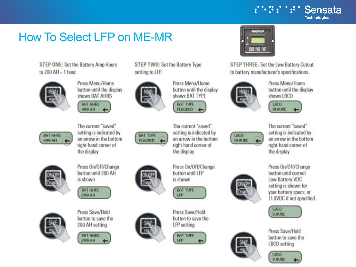

# **How To Select LFP on ME-MR**

STEP ONE: Set the Battery Amp Hours to  $200$  AH = 1 hour.



Press Menu/Home button until the display shows BAT AHRS

BAT AHRS 499 AH



setting to LFP.

Press Menu/Home button until the display shows BAT TYPE

> **BAT TYPE FL00DED** The current "saved"

setting is indicated by an arrow in the bottom right-hand corner of the display

Press On/Off/Change button until LFP is shown

**BAT TYPE LFP** 

Press Save/Hold button to save the LFP setting





STEP THREE: Set the Low Battery Cutout to battery manufacturer's specifications.



Press Menu/Home button until the display shows LBCO





The current "saved" setting is indicated by an arrow in the bottom right-hand corner of the display



button until correct Low Battery VDC setting is shown for your battery specs, or 11.0VDC if not specified.

Press On/Off/Change







Press Save/Hold button to save the LBCO setting





The current "saved" setting is indicated by an arrow in the bottom right-hand corner of the display

Press On/Off/Change

button until 200 AH

is shown

**BAT AHRS** 

280 AH





Press Save/Hold button to save the 200 AH setting







STEP TWO: Set the Battery Type

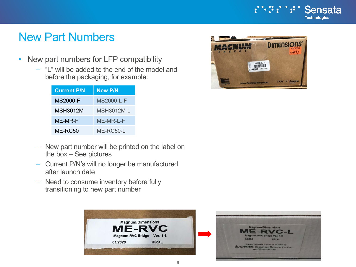

### New Part Numbers

- New part numbers for LFP compatibility
	- "L" will be added to the end of the model and before the packaging, for example:

| <b>Current P/N</b> | <b>New P/N</b> |
|--------------------|----------------|
| <b>MS2000-F</b>    | MS2000-L-F     |
| MSH3012M           | MSH3012M-L     |
| ME-MR-F            | ME-MR-L-F      |
| ME-RC50            | ME-RC50-L      |

- New part number will be printed on the label on the box – See pictures
- Current P/N's will no longer be manufactured after launch date
- Need to consume inventory before fully transitioning to new part number



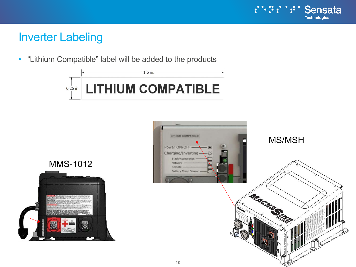

### Inverter Labeling

• "Lithium Compatible" label will be added to the products



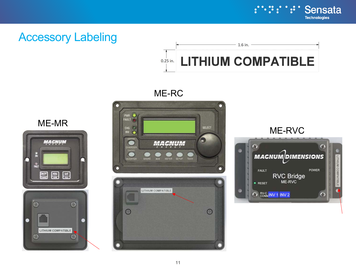

Æ

## Accessory Labeling



### ME-RC



### ME-MR